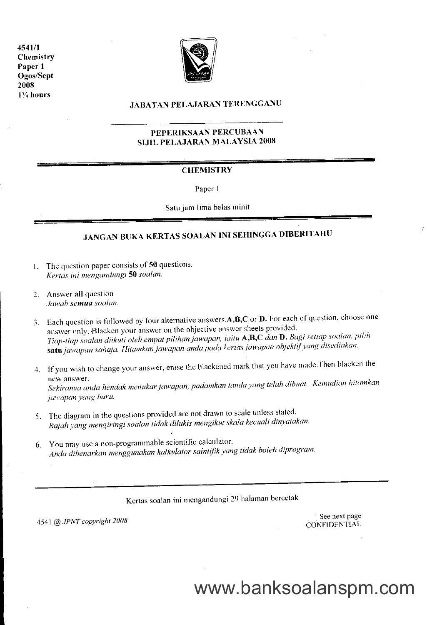4541/1 Chemistry Paper I Ogos/Sept 2008 I % hours



### JABATAN PELAJARAN TERENGGANU

### PEPERIKSAAN PERCUBAAN SIJIL PELAJARAN MALAYSIA 2008

### **CHEMISTRY**

Paper I

Satu jam lima belas minit

### JANGAN BUKA KERTAS SOALAN INI SEHINGGA DIBERITAHU

- 1. The question paper consists of  $50$  questions. Kertas ini mengandungi 50 soalan.
- 2. Answer all question ,luwah sentua soalun.
- 3. Each question is followed by four alternative answers  $\mathbf{A}, \mathbf{B}, \mathbf{C}$  or  $\mathbf{D}$ . For each of question, choose one answer only. Blacken your answer on the objective answer sheets provided. answer only. Blacken your answer on the objective answer sheets provided.<br>Tiap-tiap soalan diikuti oleh empat pilihan jawapan, iaitu **A,B,C** dan **D.** Bagi setiap soalan, pilih satu jawapan sahaja. Hitamkan jawapan anda pada kertas jawapan objektif yang disediakan.
- 4. If you wish to change your answer, erase the blackenculliant that you have made.Internatively new answer.<br>Sekiranya anda hendak menukar jawapan, padamkan tanda yang telah dibuat. Kemudian hitamkan jawapan yang baru.
- 5. The diagram in the questions provided are not drawn to scale unless stated. Rajah yang mengiringi soalan tidak dilukis mengikut skala kecuali dinyatakan.
- 6. You may use a non-programmable scientific calculator. Anda dibenarkan menggunakan kalkulator saintifik yang tidak boleh diprogram.

Kertas soalan ini mengandungi 29 halaman bercetak

4541 @ JPNT copyright 2008 [ See next page CONFIDENTIAL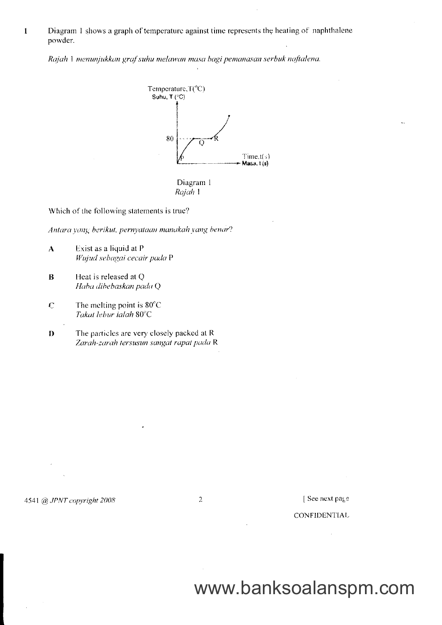Diagram 1 shows a graph of temperature against time represents the heating of naphthalene powder.

Rajah 1 menunjukkan graf suhu melawan masa bagi pemanasan serbuk naftalena.





Which of the following statements is true?

Antara yang berikut, pernyataan manakah yang benar?

- $\mathbf{A}$ Exist as a liquid at P Wujud sebagai cecair pada P
- $\bf{B}$ Heat is released at Q Haba dibebaskan pada Q

 $\mathbf{1}$ 

- $\mathbf C$ The melting point is  $80^{\circ}$ C Takat lebur ialah 80°C
- The particles are very closely packed at R D Zarah-zarah tersusun sangat rapat pada R

4541 @ JPNT copyright 2008

 $\overline{2}$ 

[See next page

### **CONFIDENTIAL**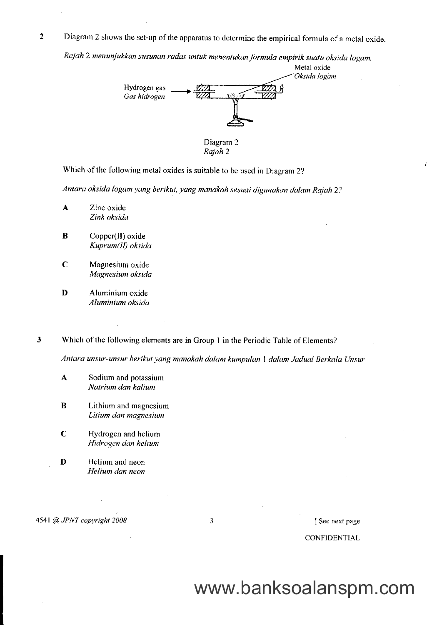$\overline{2}$ Diagram 2 shows the set-up of the apparatus to determine the empirical formula of a metal oxide.

Rajah 2 menunjukkan susunan radas untuk menentukan formula empirik suatu oksida logam.



Diagram 2 Rajah 2

Which of the following metal oxides is suitable to be used in Diagram 2?

Antara oksida logam yang berikut, yang manakah sesuai digunakan dalam Rajah 2?

- A Zinc oxide Zink oksida
- **B** Copper(II) oxide Kuprum(II) oksida
- C Magnesium oxide Magnesium oksida
- D Aluminium oxide Aluminium oksida
- $\overline{\mathbf{3}}$ Which of the following elements are in Group I in the Periodic Table of Elements?

Antara unsur-unsur berikut yang manakah dalam kumpulan 1 dalam Jadual Berkala Unsur

- A Sodium and potassium Natrium dan kalium
- **B** Lithium and magnesium Litium dan magnesium
- C Hydrogen and helium Hidrogen dan helium
- D Helium and neon Helium dan neon

4541 @ JPNT copyright 2008 3 3

CONFIDENTIAL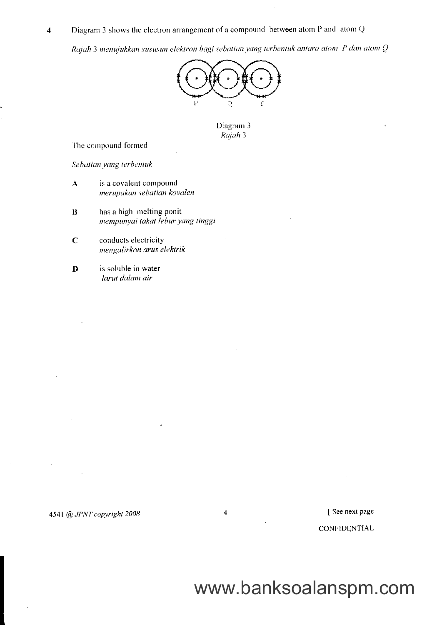Diagram 3 shows the electron arrangement of a compound between atom P and atom Q.  $\overline{\mathbf{4}}$ 

Rajah 3 menujukkan sususun elektron bagi sebatian yang terbentuk antara atom P dan atom Q



Diagram 3 Rajah 3

 $\overline{4}$ 

The compound formed

Sebutian yang terbentuk

- is a covalent compound  $\overline{\mathbf{A}}$ merupakan sebatian kovalen
- $\bf{B}$ has a high melting ponit mempunyai takat lebur yang tinggi
- $\mathbf C$ conducts electricity mengalirkan arus elektrik
- is soluble in water  $\mathbf{D}$ larut dalam air

[See next page

CONFIDENTIAL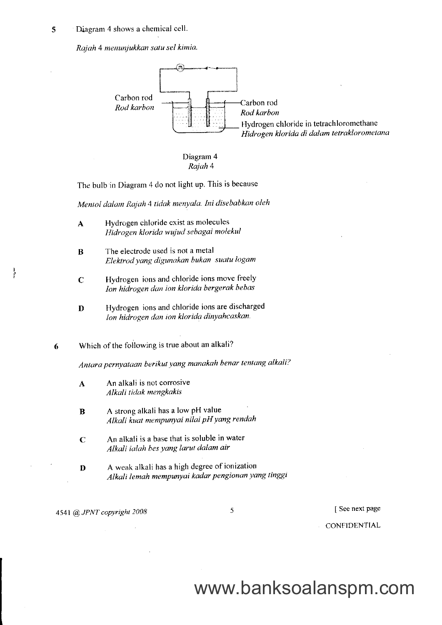Diagram 4 shows a chemical cell. 5

Rajah 4 menunjukkan satu sel kimia.



Diagram 4 Rajah 4

The bulb in Diagram 4 do not light up. This is because

Mentol dalam Rajah 4 tidak menyala. Ini disebabkan oleh

- A Hydrogen chloride exist as molecules Hidrogen klorida wujud sebagai molekul
- **B** The electrode used is not a metal Elektrod yang digunakan bukan suatu logam
- C Hydrogen ions and chloride ions move freely Ion hidrogen dun ion klorida bergerak bebas
- **D** Hydrogen ions and chloride ions are discharged lon hidrogen dan ion klorida dinyahcaskan

Which of the following is true about an alkali? 6

Antara pernyataan berikut yang manakah benar tentang alkali?

- A An alkali is not corrosive Alkali tidak mengkakis
- **B** A strong alkali has a low pH value Alkali kuat mempunyai nilai pH yang rendah
- $C$  An alkali is a base that is soluble in water Alkali ialah bes yang larut dalam air
- $\mathbf{D}$  A weak alkali has a high degree of ionization Alkali lemah mempunyai kadar pengionon yang tinggt

4541 @ JPNT copyright 2008

5

I See next Page

CONFIDENTIAL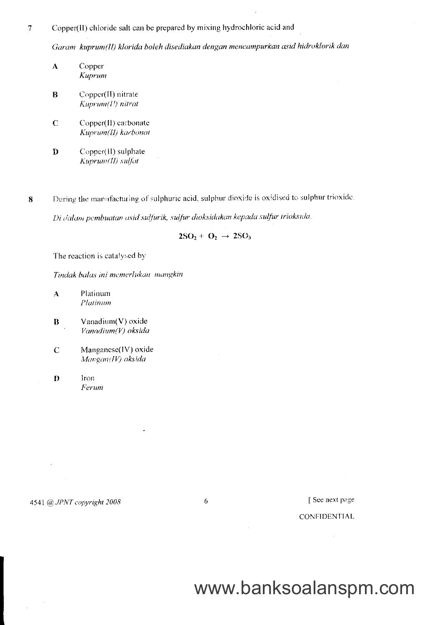$\overline{7}$ Copper(II) chloride salt can be prepared by mixing hydrochloric acid and

Garam kuprum(II) klorida boleh disediakan dengan mencampurkan asid hidroklorik dan

- Copper  $\mathbf{A}$ Kuprum
- $\overline{B}$ Copper(II) nitrate Kuprum(I!) nitrat
- $\mathbf C$ Copper(II) carbonate Kuprum(II) karbonat
- Copper(II) sulphate  $\mathbf{D}$ Kuprum(II) sulfat

During the manufacturing of sulphuric acid, sulphur dioxide is oxidised to sulphur trioxide.  $\bf{8}$ 

Di dalam pembuatan asid sulfurik, sulfur dioksidakan kepada sulfur trioksida.

$$
2\mathrm{SO}_2 + \mathrm{O}_2 \rightarrow 2\mathrm{SO}_3
$$

The reaction is catalysed by

Tindak balas ini memerlukan mangkin

- Platinum  $\mathbf{A}$ Platinum
- Vanadium(V) oxide  $\bf{B}$ Vanadium(V) oksida
- Manganese(IV) oxide  $\mathbf C$ Mangan(IV) oksida
- Iron  $\bf{D}$ Ferum

### 4541 @ JPNT copyright 2008

6

[See next page

### **CONFIDENTIAL**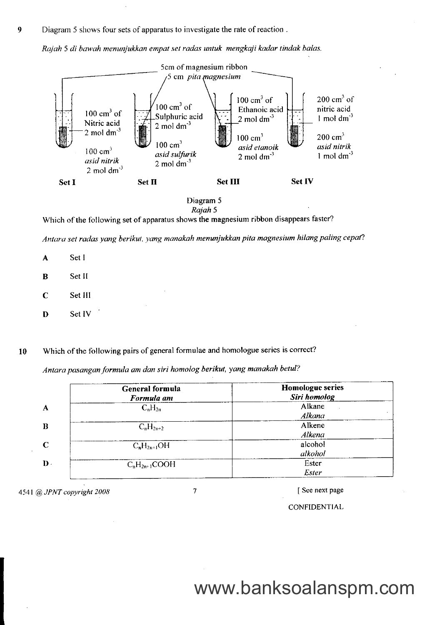Rajah 5 di bawah menunjukkdn empal set radas untuk mengkaji kadar tindak balas.



Diagram 5 Rajah 5

Which of the following set of apparatus shows the magnesium ribbon disappears faster?

Antara set radas yang berikut, yang manakah menunjukkan pita magnesium hilang paling cepat?

- A Set I
- B Set II
- C Set lll
- D Set IV
- 10 Which of the following pairs of general formulae and homologue series is correct?

Antara pasangan formula am dan siri homolog berikut, yang manakah betul?

|                | General formula<br>Formula am | <b>Homologue series</b><br>Siri homolog |
|----------------|-------------------------------|-----------------------------------------|
| A              | $C_nH_{2n}$                   | Alkane<br>Alkana                        |
| B              | $C_nH_{2n+2}$                 | Alkene<br>Alkena                        |
| C              | $C_nH_{2n+1}OH$               | alcohol<br>alkohol                      |
| $\mathbf{D}$ . | $C_nH_{2n+1}COOH$             | Ester<br>Ester                          |

4541 @ JPNT copyright 2008

 $\tau$ 

I See next page

CONFIDENTIAL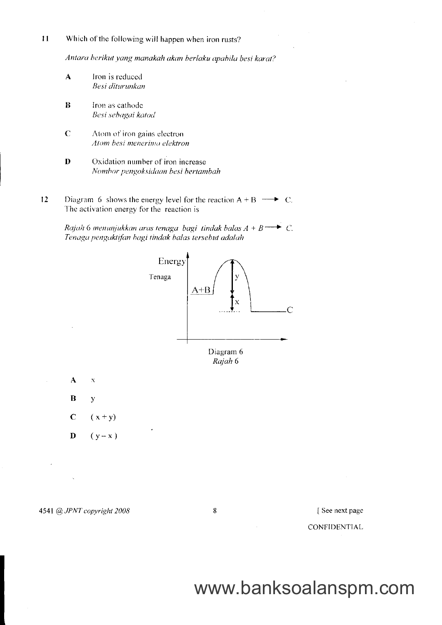$11$ Which of the following will happen when iron rusts?

Antara berikut yang manakah akan berlaku apabila besi karat?

- $\mathbf{A}$ Iron is reduced Besi diturunkan
- $\bf{B}$ Iron as cathode Besi sebagai katod
- $\overline{C}$ Atom of iron gains electron Atom besi menerima elektron
- $\overline{D}$ Oxidation number of iron increase Nombor pengoksidaan besi bertambah
- 12 Diagram 6 shows the energy level for the reaction  $A + B \longrightarrow C$ . The activation energy for the reaction is

Rajah 6 menunjukkan aras tenaga bagi tindak balas  $A + B \longrightarrow C$ . Tenaga pengaktifan bagi tindak balas tersebut adalah



### 4541 @ JPNT copyright 2008

8

### See next page

CONFIDENTIAL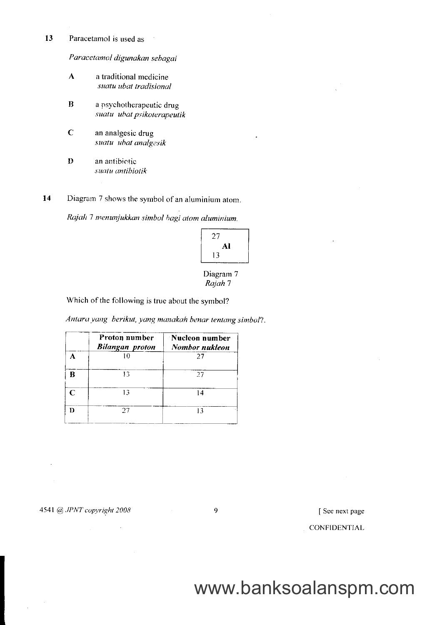13 Paracetamol is used as

Paracetamol digunakan sebagai

- $\mathbf{A}$ a traditional medicine suatu ubat tradisional
- $\bf{B}$ a psychotherapeutic drug suatu ubat psikoterapeutik
- $\overline{C}$ an analgesic drug suatu ubat analgesik
- $\overline{\mathbf{D}}$ an antibictic suatu antibiotik

14 Diagram 7 shows the symbol of an aluminium atom.

Rajah 7 menunjukkan simbol bagi atom aluminium.



### Diagram 7 Rajah 7

Which of the following is true about the symbol?

Antara yang berikut, yang manakah benar tentang simbol?.

|               | Proton number<br><b>Bilangan proton</b> | :Nucleon number<br>Nombor nukleon |
|---------------|-----------------------------------------|-----------------------------------|
|               |                                         | 27                                |
|               | 13                                      | 27                                |
| $\mathcal{C}$ | 13                                      | 14                                |
| n             | 27                                      |                                   |

4541 @ JPNT copyright 2008

 $\overline{9}$ 

[See next page

CONFIDENTIAL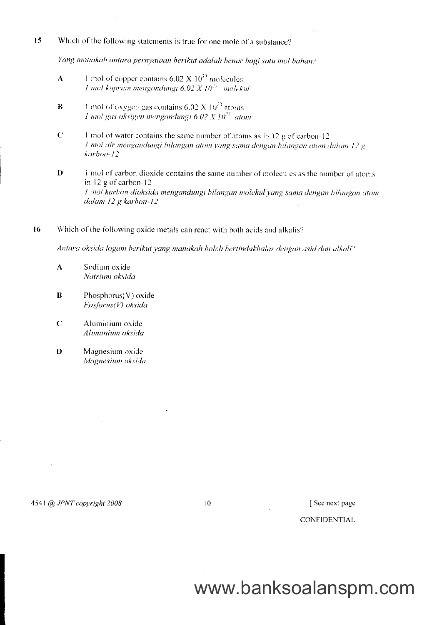15 Which of the following statements is true for one mole of a substance?

Yang manakah antara pernyataan berikut adalah benar bagi satu mol bahan?

- 1 mol of copper contains  $6.02 \times 10^{23}$  molecules  $\overline{\mathbf{A}}$ 1 mol kuprum mengandungi 6.02 X  $10^{23}$  molekul
- 1 mol of oxygen gas contains 6.02 X  $10^{23}$  atoms  $\mathbf{B}$ 1 mol gas oksigen mengandungi 6.02 X  $10^{22}$  atom
- $\mathbf C$ 1 mol of water contains the same number of atoms as in 12 g of carbon-12 1 mol air mengandungi bilangan atom yang sama dengan bilangan atom dalam 12 g karbon-12
- $\mathbf{D}$ 1 mol of carbon dioxide contains the same number of molecules as the number of atoms in 12 g of carbon-12 I mol karbon dioksida mengandungi bilangan molekul yang sama dengan bilangan atom dalam 12 g karbon-12
- 16 Which of the following oxide metals can react with both acids and alkalis?

Antara oksida logam berikut yang manakah boleh bertindakbalas dengan asid dan alkali?

- $\overline{\mathbf{A}}$ Sodium oxide Natrium oksida
- $\mathbf{B}$ Phosphorus(V) oxide  $F$ osforus(V) oksida
- $\mathbf C$ Aluminium oxide Aluminium oksida
- D Magnesium oxide Magnesium oksida

4541 @ JPNT copyright 2008

10

[See next page] **CONFIDENTIAL**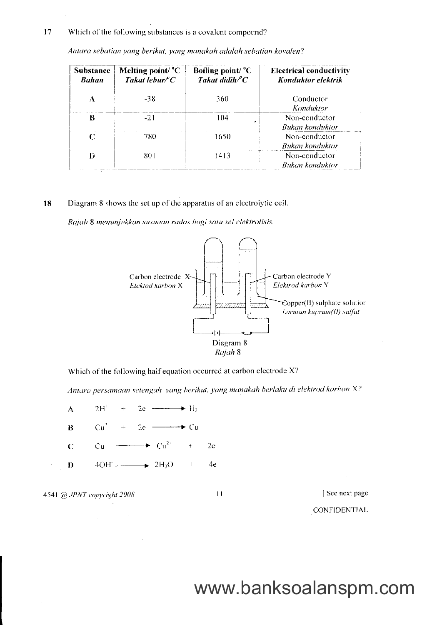#### 17 Which of the following substances is a covalent compound?

| <b>Substance</b><br>Bahan | Melting point/ $^{\circ}C$<br>Takat lebur $\ell^{\circ}$ C | Boiling point/ $^{\circ}C$<br>Takat didih/°C | <b>Electrical conductivity</b><br>Konduktor elektrik |  |
|---------------------------|------------------------------------------------------------|----------------------------------------------|------------------------------------------------------|--|
|                           | -38                                                        | 360.                                         | Conductor<br>Konduktor                               |  |
| B                         | $-21$                                                      | 104                                          | Non-conductor<br>Bukan konduktor                     |  |
| C                         | 780                                                        | 1650                                         | Non-conductor<br>Bukan konduktor                     |  |
|                           | 801                                                        | 1413                                         | Non-conductor<br><b>Bukan</b> konduktor              |  |

Antara sebatian yang berikut, yang manakah adalah sebatian kovalen?

#### 18 Diagram 8 shows the set up of the apparatus of an electrolytic cell.

Rajah 8 menunjukkan susunan radas bagi satu sel elektrolisis.



Which of the following half equation occurred at carbon electrode X?

Antara persamaan setengah yang berikut, yang manakah berlaku di elektrod karbon X?

 $2H'$  $2e \longrightarrow H_2$  $\Lambda$  $Cu<sup>2+</sup>$  $2e \longrightarrow Cu$  $\bf{B}$  $\pm$  $-\blacktriangleright$   $Cu^{2+}$  $\mathbf C$  $Cu$  $\frac{1}{4}$  $2e$  $\longrightarrow$  2H<sub>2</sub>O 4e  $\mathbf{D}$  $4OH$   $\pm$ 

4541 @ JPNT copyright 2008

 $\bar{z}$ 

 $\mathbf{1}$ 

[See next page

CONFIDENTIAL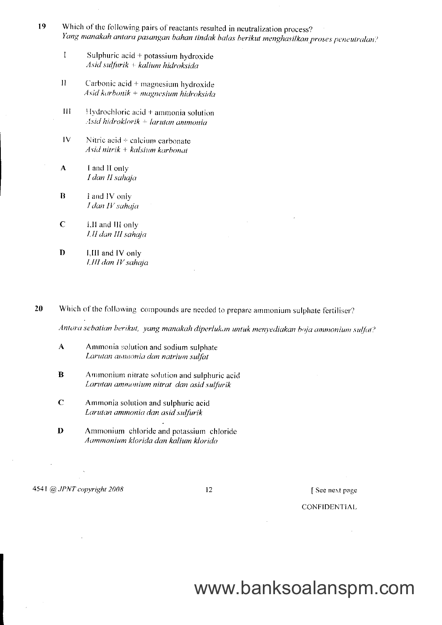- 19 Which of the following pairs of reactants resulted in neutralization process? Yang manakah antara pasangan bahan tindak balas berikut menghasilkan proses peneutralan?
	- $\mathbf{I}$ Sulphuric  $acid + potassium$  hydroxide  $\overline{A}$ sid sulfurik + kalium hidroksida
	- $\mathbf{H}$ Carbonic acid  $+$  magnesium hydroxide Asid karbonik + magnesium hidroksida
	- $\mathbf{H}$  $Hydrochloric acid + ammonia solution$  $A$ sid hidroklorik + larutan ammonia
	- $IV$ Nitric acid + calcium carbonate Asid nitrik + kalsium karbonat
	- $\mathbf{A}$ I and II only I dan II sahaja
	- $\overline{\mathbf{B}}$ I and IV only I dan IV sahaja
	- $\mathbf C$ I,II and III only I,II dan III sahaja
	- $\mathbf{D}$ I,III and IV only I,III dan IV sahaja
- 20 Which of the following compounds are needed to prepare ammonium sulphate fertiliser?

Antara sebatian berikut, yang manakah diperlukan untuk menyediakan baja ammonium sulfat?

- $\boldsymbol{\Lambda}$ Ammonia solution and sodium sulphate Larutan ammonia dan natrium sulfat
- $\bf{B}$ Ammonium nitrate solution and sulphuric acid Larutan ammonium nitrat dan asid sulfurik
- $\mathbf C$ Ammonia solution and sulphuric acid Larutan ammonia dan asid sulfurik
- $\bf{D}$ Ammonium chloride and potassium chloride Aammonium klorida dan kalium klorida

4541 @ JPNT copyright 2008

12

[See next page

**CONFIDENTIAL**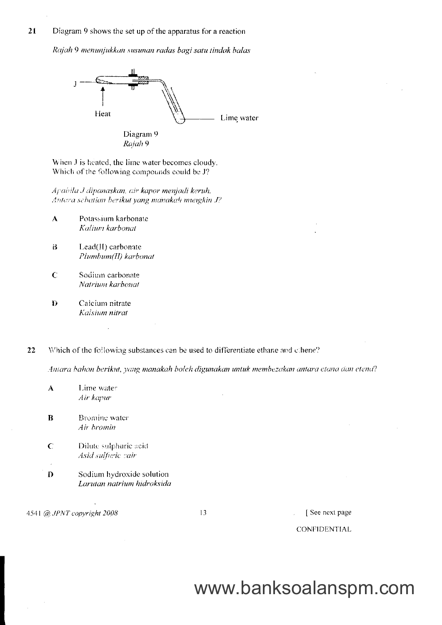#### 21 Diagram 9 shows the set up of the apparatus for a reaction

Rajah 9 menunjukkan susunan radas bagi satu tindak balas



When J is heated, the lime water becomes cloudy. Which of the following compounds could be J?

Apabila J dipanaskan, air kapor menjadi keruh. Antera sebatian berikut yang manakah mungkin J?

- Potassium karbonate  $\overline{\mathbf{A}}$ Kalium karbonat
- Lead(II) carbonate  $\mathbf{B}$ Plumbum(II) karbonat
- $\overline{C}$ Sodium carbonate Natrium karbonat
- D Calcium nitrate Kalsium nitrat
- Which of the following substances can be used to differentiate ethane and ethene? 22

Antara bahan berikut, yang manakah boleh digunakan untuk membezakan antara etana dan etena?

| А            | Lime water<br>Air kapur                                 |    |          |
|--------------|---------------------------------------------------------|----|----------|
| B            | Bromine water<br>Air bromin                             |    |          |
| $\mathsf{C}$ | Dilute sulphuric acid<br>Asid sulfuric cair             |    |          |
| ٠<br>D       | Sodium hydroxide solution<br>Larutan natrium hidroksida |    |          |
|              | 4541 @ JPNT copyright 2008                              | 13 | See next |

[See next page

**CONFIDENTIAL**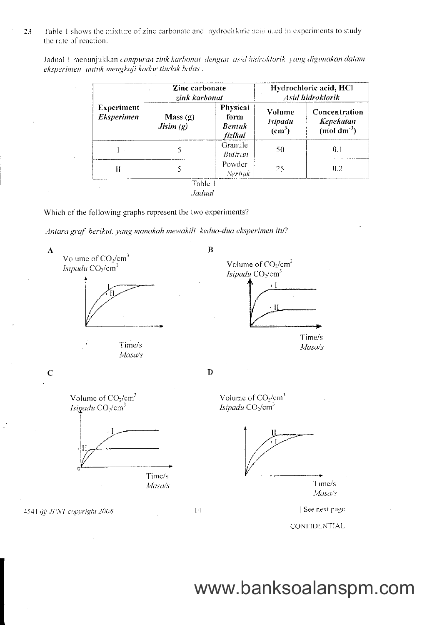Table 1 shows the mixture of zinc carbonate and hydrochloric acid used in experiments to study 23 the rate of reaction.

Jadual 1 menunjukkan campuran zink karbonat dengan asid hidroklorik yang digunakan dalam eksperimen untuk mengkaji kadar tindak balas.

|                                        | Zinc carbonate<br>zink karbonat |                                       | Hydrochloric acid, HCl<br>Asid hidroklorik                                                        |     |
|----------------------------------------|---------------------------------|---------------------------------------|---------------------------------------------------------------------------------------------------|-----|
| <b>Experiment</b><br><b>Eksperimen</b> | Mass(g)<br>Jisim(g)             | Physical<br>form<br>Bentuk<br>fizikal | Concentration<br>Volume<br><b>Kepekatan</b><br>Isipadu<br>$(mod \text{ dm}^3)$<br>$\text{cm}^3$ ) |     |
|                                        |                                 | Granule<br>Butiran                    | 50                                                                                                | 0.1 |
| Н                                      |                                 | Powder<br><b>Serbuk</b>               | 25                                                                                                | 0.2 |
|                                        | Table 1<br>Jadual               |                                       |                                                                                                   |     |

Which of the following graphs represent the two experiments?

Antara graf berikut, yang manakah mewakili kedua-dua eksperimen itu?

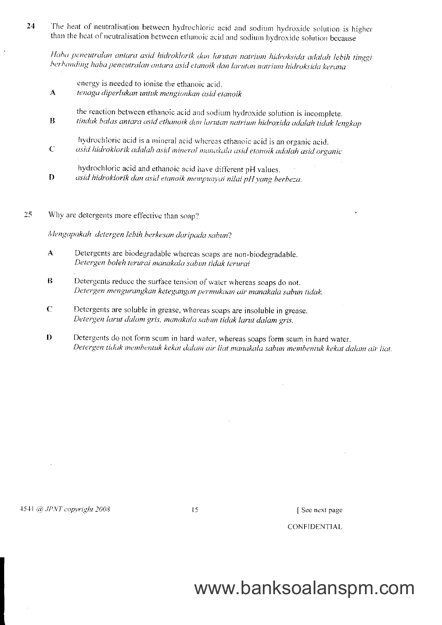The heat of neutralisation between hydrochloric acid and sodium hydroxide solution is higher 24 than the heat of neutralisation between ethanoic acid and sodium hydroxide solution because

Haba peneutralan antara asid hidroklorik dan larutan natrium hidroksida adalah lebih tinggi berbanding haba peneutralan antara asid etanoik dan larutan natrium hidroksida kerana

| $\mathbf{A}$ | energy is needed to ionise the ethanoic acid.<br>tenaga diperlukan untuk mengionkan asid etanoik                                                                        |
|--------------|-------------------------------------------------------------------------------------------------------------------------------------------------------------------------|
| B            | the reaction between ethanoic acid and sodium hydroxide solution is incomplete.<br>tindak balas antara asid ethanoik dan larutan natrium hidroxida adalah tidak lengkap |
| $\mathbf C$  | hydrochloric acid is a mineral acid whereas ethanoic acid is an organic acid.<br>asid hidroklorik adalah asid mineral manakala asid etanoik adalah asid organic         |
| Đ            | hydrochloric acid and ethanoic acid have different pH values.<br>asid hidroklorik dan asid etanoik mempunyai nilai pH yang berbeza.                                     |

25 Why are detergents more effective than soap?

Mengapakah detergen lebih berkesan daripada sabun?

- Detergents are biodegradable whereas soaps are non-biodegradable.  $\mathbf{A}$ Detergen boleh terurai manakala sabun tidak terurai
- $\overline{\mathbf{B}}$ Detergents reduce the surface tension of water whereas soaps do not. Detergen mengurangkan ketegangan permukaan air manakala sabun tidak.
- $\mathbf C$ Detergents are soluble in grease, whereas soaps are insoluble in grease. Detergen larut dalam gris, manakala sabun tidak larut dalam gris.
- $\mathbf{D}$ Detergents do not form scum in hard water, whereas soaps form scum in hard water. Detergen tidak membentuk kekat dalam air liat manakala sabun membentuk kekat dalam air liat.

4541 @ JPNT copyright 2008

 $\overline{15}$ 

[See next page

CONFIDENTIAL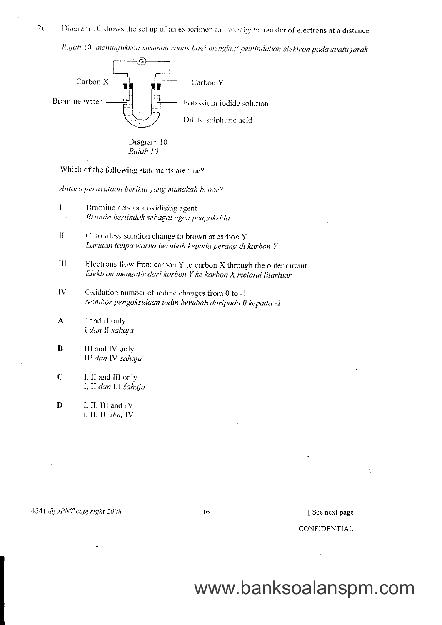26 Diagram 10 shows the set up of an experimen to investigate transfer of electrons at a distance Rajah 10 menunjukkan susunan radas bagi mengkaji pemindahan elektron pada suatu jarak



Which of the following statements are true?

Antara pernyataan berikut yang manakah benar?

- $\mathbf{I}$ Bromine acts as a oxidising agent Bromin bertindak sebagai agen pengoksida
- $\mathbf{H}$ Colourless solution change to brown at carbon Y Larutan tanpa warna berubah kepada perang di karbon Y
- $III$ Electrons flow from carbon Y to carbon X through the outer circuit Elektron mengalir dari karbon Y ke karbon X melalui litarluar
- $1V$ Oxidation number of iodine changes from 0 to -1 Nombor pengoksidaan iodin berubah daripada 0 kepada -1
- $\mathbf{A}$ I and II only I dan II sahaja
- $\bf{B}$ III and IV only III dan IV sahaja
- $\mathbf C$ I, II and III only I, II dan III sahaja
- D I, II, III and IV I. II, III dan IV

16

[See next page

### CONFIDENTIAL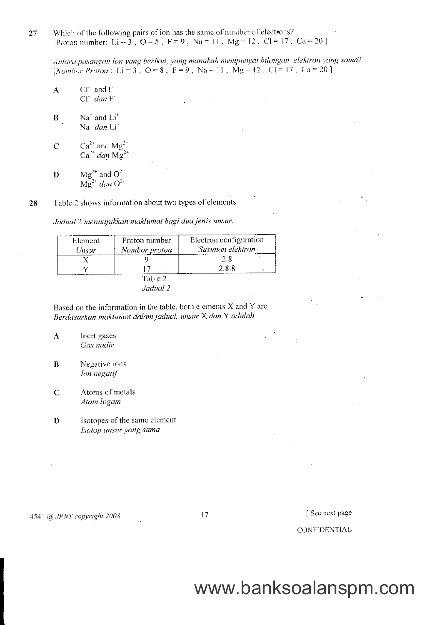Which of the following pairs of ion has the same of number of electrons? 27 [Proton number: Li = 3, O = 8, F = 9, Na = 11, Mg = 12, CI = 17, Ca = 20]

Antara pasangan ion yang berikut, yang manakah mempunyai bilangan elektron yang sama? [Nomber Proton: Li = 3, O = 8, F = 9, Na = 11, Mg = 12, Cl = 17, Ca = 20]

- $C\Gamma$  and  $F$  $\overline{\mathbf{A}}$  $C\Gamma$  dan  $F$
- $\mathbf{B}$  $Na<sup>+</sup>$  and  $Li<sup>+</sup>$  $Na<sup>+</sup>$  dan Li<sup>\*</sup>
- Ca<sup>2+</sup> and Mg<sup>2+</sup><br>Ca<sup>2+</sup> dan Mg<sup>2+</sup>  $\overline{C}$
- Mg<sup>2+</sup> and O<sup>2-</sup><br>Mg<sup>2+</sup> dan O<sup>2-</sup>  $\mathbf{D}$

Table 2 shows information about two types of elements. 28

Jadual 2 menunjukkan maklumat bagi dua jenis unsur.

| Element | Proton number | Electron configuration |
|---------|---------------|------------------------|
| Unsur   | Nombor proton | Susunan elektron       |
|         |               | 28                     |
|         |               | 288                    |
|         | Table 2       |                        |
|         | Jadual 2      |                        |

Based on the information in the table, both elements X and Y are Berdasarkan maklumat dalam jadual, unsur X dan Y adalah

- $\mathbf{A}$ Inert gases Gas nadir
- Negative ions  $\bf{B}$ Ion negatif
- Atoms of metals  $\mathbf C$ Atom logam
- Isotopes of the same element D Isotop unsur yang sama

4541 @ JPNT copyright 2008

17

See next page

CONFIDENTIAL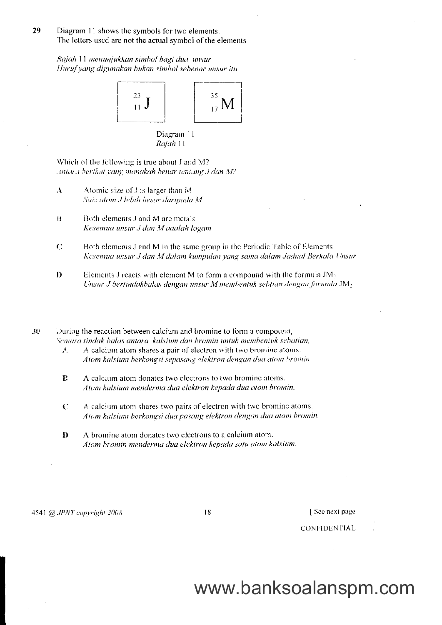29 Diagram 11 shows the symbols for two elements. The letters used are not the actual symbol of the elements

> Rajah 11 menunjukkan simbol bagi dua unsur Huruf yang digunakan bukan simbol sebenar unsur itu



Diagram 11 Rajah 11

Which of the following is true about J and M? Antara berikat yang manakah benar tentang J dan M?

- $\mathbf{A}$ Atomic size of J is larger than M Saiz atom J lebih besar daripada M
- $\mathbf{B}$ Both elements J and M are metals Kesemua unsur J dan M adalah logam
- $\mathbf C$ Both elements J and M in the same group in the Periodic Table of Elements Kesemua unsur J dan M dalam kumpulan yang sama dalam Jadual Berkala Unsur
- $\mathbf{D}$ Elements J reacts with element M to form a compound with the formula  $JM_2$ Unsur J bertindakbalas dengan unsur M membentuk sebtian dengan formula  $JM_2$

30 During the reaction between calcium and bromine to form a compound, Semasa tindak balas antara kalsium dan bromin untuk membentuk sebatian,

- A calcium atom shares a pair of electron with two bromine atoms. 人 Atom kalsium berkongsi sepasang elektron dengan dua atom bromin
- $\mathbf{R}$ A calcium atom donates two electrons to two bromine atoms. Atom kalsium menderma dua elektron kepada dua atom bromin.
- $\mathbf C$ A calcium atom shares two pairs of electron with two bromine atoms. Atom kalsium berkongsi dua pasang elektron dengan dua atom bromin.
- $\mathbf{D}$ A bromine atom donates two electrons to a calcium atom. Atom bromin menderma dua elektron kepada satu atom kalsium.

4541 @ JPNT copyright 2008

18

[See next page

**CONFIDENTIAL**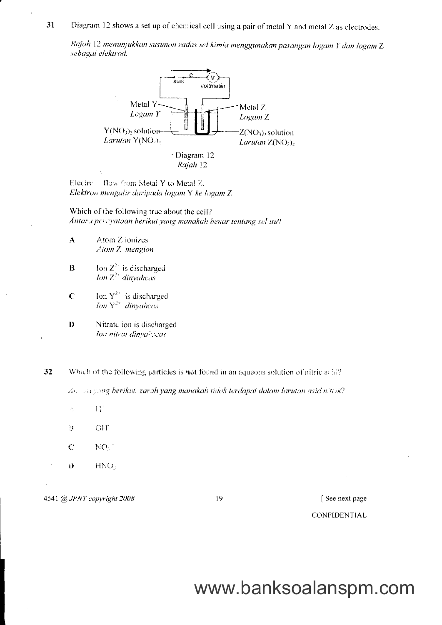31 Diagram 12 shows a set up of chemical cell using a pair of metal Y and metal Z as clectrodes.

Rajah 12 menunjukkan susunan radas sel kimia menggunakan pasangan logam Y dan logam Z sebagai elektrod.



flow from Metal Y to Metal 2. Electro Elektron mengalir daripada logam Y ke logam Z

Which of the following true about the cell? Antaru perayataan berikut yang manakah benar tentang sel itu?

- $\mathbf{A}$ Atom Z ionizes Atom Z mengion
- $\bf{B}$ Ion  $Z^2$  is discharged Ion  $Z^2$  dinyaheas
- Ion  $Y_{\perp}^{2+}$  is discharged  $\mathbf C$ Ion  $Y^{2+}$  dinvances
- D Nitrate ion is discharged Ion nitrat dinyalweas

32 Which of the following particles is not found in an aqueous solution of nitric acid?

An sau yang berikut, zarah yang manakah tidak terdapat dalam larutan asid nitrik?

- $\mathbf{h}^{\text{th}}_{\text{i}}$  $\frac{1}{\sqrt{2}}$
- $\mathbb{R}^3$ OH<sup>-</sup>
- $NO<sub>3</sub>$  $\mathbb{C}$
- $\vec{D}$  $HNO<sub>3</sub>$

4541 @ JPNT copyright 2008

19

[See next page

### CONFIDENTIAL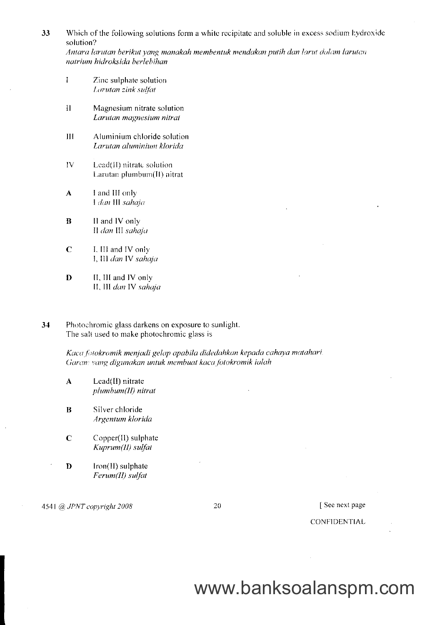33 Which of the following solutions form a white recipitate and soluble in excess sodium hydroxide solution?

Antara larutan berikut yang manakah membentuk mendakan putih dan larut dalam larutan natrium hidroksida berlebihan

- Zinc sulphate solution  $\mathbf{I}$ Larutan zink sulfat
- $\mathbf{H}$ Magnesium nitrate solution Larutan magnesium nitrat
- $III$ Aluminium chloride solution Larutan aluminium klorida
- IV Lead(II) nitrate solution Larutan plumbum(II) nitrat
- I and III only  $\boldsymbol{A}$ I dan III sahaja
- $\bf{B}$ II and IV only II dan III sahaja
- $\mathbf C$ I. III and IV only I, III dan IV sahaja
- II, III and IV only D II, III dan IV sahaja
- 34 Photochromic glass darkens on exposure to sunlight. The salt used to make photochromic glass is

Kaca fotokromik menjadi gelap apabila didedahkan kepada cahaya matahari. Garan: yang digunakan untuk membuat kaca fotokromik ialah

- Lead(II) nitrate  $\mathbf{A}$ plumbum(II) nitrat
- $\bf{B}$ Silver chloride Argentum klorida
- $\mathbf C$ Copper(II) sulphate Kuprum(II) sulfat
- D Iron(II) sulphate Ferum(II) sulfat

4541 @ JPNT copyright 2008

20

### [See next page]

CONFIDENTIAL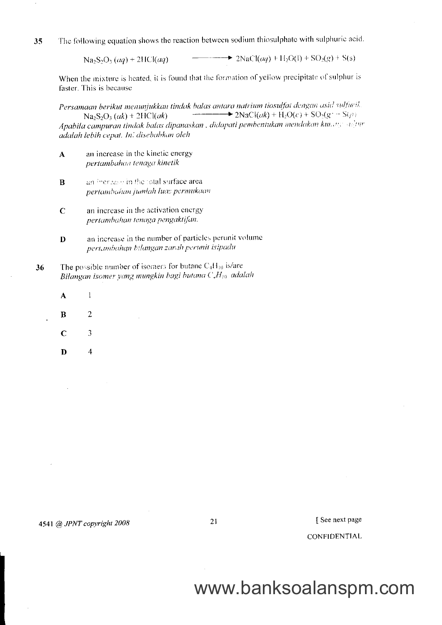The following equation shows the reaction between sodium thiosulphate with sulphuric acid. 35

> $Na_2S_2O_3 (aq) + 2HCl(aq)$  $\rightarrow$  2NaCl(*aq*) + H<sub>2</sub>O(l) + SO<sub>2</sub>(*g*) + S(s)

When the mixture is heated, it is found that the formation of yellow precipitate of sulphur is faster. This is because

Persamaan berikut menunjukkan tindak balas antara natrium tiosulfat dengan asid sulfuril.  $Na_2S_2O_3 (ak) + 2HCl(ak)$   $\longrightarrow$   $2NaCl(ak) + H_2O(c) + SO_2(g - S(\rho))$ Apabila campuran tindak balas dipanaskan, didapati pembentukan mendakan kunang adatur adalah lebih cepat. In: disebahkan oleh

- an increase in the kinetic energy  $\mathbf{A}$ pertambahan tenaga kinetik
- $\bf{B}$ an increase in the total surface area. pertambahan jumlah luas permukaan
- $\mathbf C$ an increase in the activation energy pertambahan tenaga pengaktifan.
- an increase in the number of particles perunit volume  $\mathbf{D}$ pertambahan bilangan zarah perunit isipadu
- The possible number of isemers for butane  $C_4H_{10}$  is/are 36 Bilangan isomer yang mungkin bagi butana  $C_xH_{10}$  adalah
	- $\mathbf{A}$  $\mathbf{1}$
	- $\bf{B}$  $\overline{2}$
	- $\mathbf C$ 3
	- $\overline{4}$ D

21

See next page

**CONFIDENTIAL**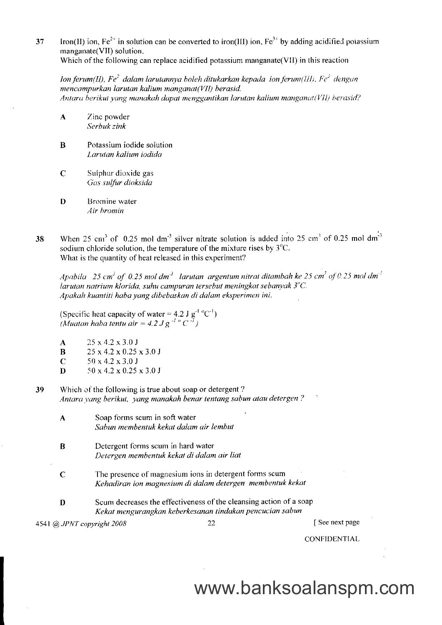37 lron(II) ion,  $Fe^{2+}$  in solution can be converted to iron(III) ion,  $Fe^{3+}$  by adding acidified potassium manganate(VII) solution. Which of the following can replace acidified potassium manganate  $(VII)$  in this reaction

 $\theta$ lon ferum(II), Fe<sup>2</sup> dalam larutannya boleh ditukarkan kepada ion ferum(III), Fe<sup>3</sup> dengun  $m$ encampurkan larutan kalium manganat(VII) berasid. Antara berikut yang manakah dapat menggantikan larutan kalium manganat(VII) berasid?

- A Zinc powder Serbuk zink
- B Potassium iodide solution Lorutan kalium iodida
- $C$  Suiphur dioxide gas Gos sulfur dioksida
- D Bromine water Air bromin
- 38 When 25 cm<sup>3</sup> of 0.25 mol dm<sup>-3</sup> silver nitrate solution is added into 25 cm<sup>3</sup> of 0.25 mol dm<sup>-3</sup> sodium chloride solution, the temperature of the mixture rises by  $3^{\circ}C$ . What is the quantity of heat released in this experiment?

Apabila 25 cm<sup>3</sup> of 0.25 mol dm<sup>-3</sup> larutan argentum nitrat ditambah ke 25 cm<sup>3</sup> of 0.25 mol dm<sup>-3</sup> larutan natrium klorida, suhu campuran tersebut meningkat sebanyak  $3^{\circ}C$ . Apakah kuantiti haba yang dibebaskan di dalam eksperimen ini.

(Specific heat capacity of water = 4.2 J  $g^{-1}$  °C<sup>-1</sup>) (Muatan haba tentu air = 4.2 J g<sup>-1 o</sup> C<sup>-7</sup>)

A 25x4.2x3.0J **B** 25 x 4.2 x 0.25 x 3.0 J  $C = 50 \times 4.2 \times 3.0 \text{ J}$  $D = 50 \times 4.2 \times 0.25 \times 3.0 \text{ J}$ 

- 39 Which of the following is true about soap or detergent ? Antara yang berikut, yang manakah benar tentang sabun atau detergen ?
	- A Soap forms scum in soft water Sabun membentuk kekat dalam air lembut
	- B Detergent forms scum in hard water Detergen membentuk kekal di dalam air liat
	- C The presence of magnesium ions in detergent forms scum Kehadiran ion magnesium di dalam detergen membentuk kekat
	- D Scum decreases the effectiveness of the cleansing action of a soap Kekot mengurangkan keberkesanan tindukan pencucian sabun

4541 @ JPNT copyright 2008 22 [ See next page

**CONFIDENTIAL**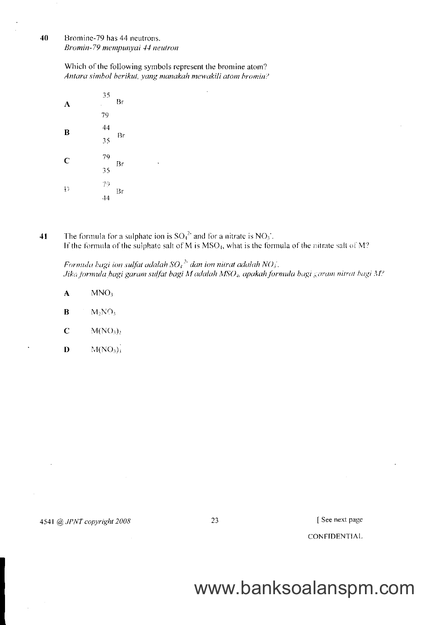40 Bromine-79 has 44 neutrons. Bromin-79 mempunyai 44 neutron

> Which of the following symbols represent the bromine atom? Antara simbol berikut, yang manakah mewakili atom bromin?

| A               | 35<br>ï         | Br |
|-----------------|-----------------|----|
|                 | 79              |    |
| B               | $\frac{44}{35}$ |    |
|                 |                 | Br |
| $\mathbf C$     | 79<br>35        |    |
|                 |                 | Br |
| $\frac{1}{2}$ ) | 79              | Br |
|                 | <sup>44</sup>   |    |

The formula for a sulphate ion is  $SO_4^{2*}$  and for a nitrate is  $NO_3^*$ .<br>If the formula of the sulphate salt of M is MSO<sub>4</sub>, what is the formula of the nitrate salt of M? 41

Formula bagi ion sulfat adalah  $SO_4^2$  dan ion nitrat adalah  $NO_3$ . Jika jormula bagi garam sulfat bagi M adalah MSO<sub>4</sub>, apakah formula bagi garam nitrat bagi M?

- $\overline{\mathbf{A}}$  $MNO<sub>3</sub>$
- $\bf{B}$  $M_2NO_3$
- $\mathbf C$  $M(NO<sub>3</sub>)<sub>2</sub>$
- $\mathbf{D}$  $M(NO_3)$

4541 @ JPNT copyright 2008

23

[See next page

**CONFIDENTIAL**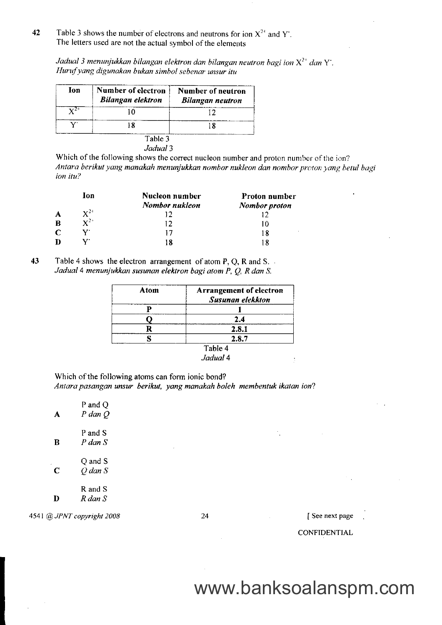42 Table 3 shows the number of electrons and neutrons for ion  $X^{2+}$  and Y. The letters used are not the actual symbol of the elements

Jadual 3 menunjukkan bilangan elektron dan bilangan neutron bagi ion  $\mathrm{X}^{2+}$  dan  $\mathrm{Y}^{\cdot}$ . Huruf yang digunakan bukan simbol sebenar unsur itu

| Ion | Number of electron<br><b>Bilangan elektron</b> | Number of neutron<br><b>Bilangan neutron</b> |
|-----|------------------------------------------------|----------------------------------------------|
|     | īΩ                                             |                                              |
|     | 18                                             |                                              |

Which of the following shows the correct nucleon number and proton number of the ion? Antara berikut yang manakah menunjukkan nombor nukleon dan nombor proton yang betul bagi ion itu?

|   | lon               | Nucleon number | Proton number |
|---|-------------------|----------------|---------------|
|   |                   | Nombor nukleon | Nombor proton |
| A | $\mathbf{Y}^{24}$ |                |               |
| B | $\mathbf{Y}^{2+}$ | 12             | 10            |
| С |                   | 17             | 18            |
| D |                   | 18             |               |

43 Table 4 shows the electron arrangement of atom P, Q, R and S. Jadual 4 menunjukkan susunan elektron bagi atom P, Q, R dan S.

| Atom | <b>Arrangement of electron</b> |
|------|--------------------------------|
|      | <b>Susunan elekkton</b>        |
|      |                                |
|      | 2.4                            |
|      | 2.8.1                          |
|      | 2.8.7                          |
|      | Tab                            |

Jadual 4

Which of the following atoms can form ionic bond? Antara pasangan unsur berikut, yang manakah boleh membentuk ikatan ion?

| А | P and Q<br>P dan Q     |
|---|------------------------|
| R | P and S<br>$P$ dan $S$ |
| C | Q and S<br>O dan S     |
|   | R and S<br>R dan S     |

4541 @ JPNT copyright 2008 24 [ See next page

 $\mathcal{F}_{\text{c},\text{c}}$ 

**CONFIDENTIAL** 

# www.banksoalanspm.com

 $\mathcal{I}$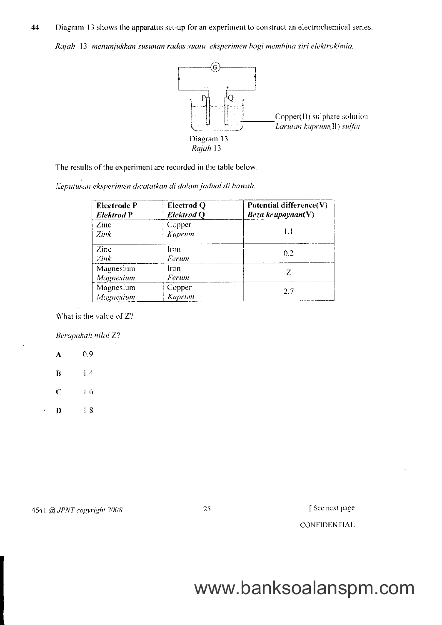Diagram 13 shows the apparatus set-up for an experiment to construct an electrochemical series. 44

Rajah 13 menunjukkan susunan radas suatu eksperimen bagi membina siri elektrokimia.



The results of the experiment are recorded in the table below.

Keputusan eksperimen dicatatkan di dalam jadual di bawah.

| <b>Electrode P</b><br><b>Elektrod P</b> | <b>Electrod Q</b><br><b>Elektrod Q</b> | Potential difference(V)<br>Beza keupayaan $(V)$ |  |
|-----------------------------------------|----------------------------------------|-------------------------------------------------|--|
| $\mathsf{Zinc}$<br>Zink                 | Copper<br>Kuprum                       | 1.1                                             |  |
| Zinc<br>Zink                            | Iron<br>Ferum                          | 0.2                                             |  |
| Magnesium<br>Iron<br>Magnesium<br>Ferum |                                        | Z                                               |  |
| Magnesium<br>Magnesium                  | Copper<br>Kuprum                       | 2.7                                             |  |

What is the value of Z?

Berapakah nilai Z?

0.9  $\mathbf{A}$  $\bf{B}$  $1.4$  $\mathbb{C}$  $1.6$ 1.8

D

4541 @ JPNT copyright 2008

25

[See next page]

CONFIDENTIAL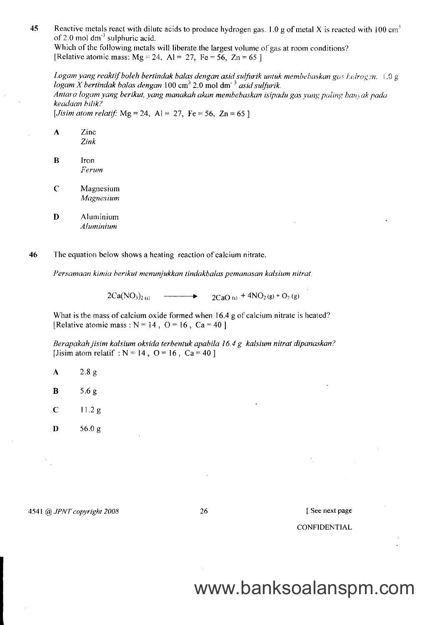45 Reactive metals react with dilute acids to produce hydrogen gas. 1.0 g of metal X is reacted with 100 cm<sup>3</sup> of 2.0 mol  $dm<sup>-3</sup>$  sulphuric acid.

Which of the following metals will liberate the largest volume of gas at room conditions? [Relative atomic mass:  $Mg = 24$ ,  $Al = 27$ , Fe = 56, Zn = 65 ]

Logam yang reaktif boleh bertindak balas dengan asid sulfurik untuk membehaskan gas hudrogen.  $1.0 \text{ g}$ logam X bertindak balas dengan  $100 \text{ cm}^3$  2.0 mol dm<sup>-3</sup> asid sulfurik. Antara logam yang berikut, yang manakah akan membebaskan isipadu gas yang paling banvak pada keadaan bilik? [*Jisim atom relatif:* Mg = 24, Al = 27, Fe = 56, Zn = 65 ]

- A Zinc Zink
- B lron Ferum
- C Magnesium Magnesium
- D Aluminium Aluminium

46 The equation below shows a heating reaction of calcium nitrate.

I'ersamaan kimia berikut menunjukkan tindakbalas pemanasan kalsium nitrat.

 $2Ca(NO<sub>3</sub>)<sub>2 (s)</sub>$   $\longrightarrow$   $2CaO<sub>(s)</sub> + 4NO<sub>2</sub>(g) + O<sub>2</sub>(g)$ 

What is the mass of calcium oxide formed when 16.4 g of calcium nitrate is heated? [Relative atomic mass :  $N = 14$ ,  $Q = 16$ ,  $Ca = 40$ ]

Berapakah jisim kalsium oksida terbentuk apabila 16.4 g kalsium nitrat dipanaskan? [Jisim atom relatif :  $N = 14$ ,  $Q = 16$ ,  $Ca = 40$ ]

- A 2.8g
- **B** 5.6 g
- $C = 11.2 g$
- $D = 56.0 g$

4541 @ JPNT copyright 2008 26

I See next page

### CONFIDENTIAL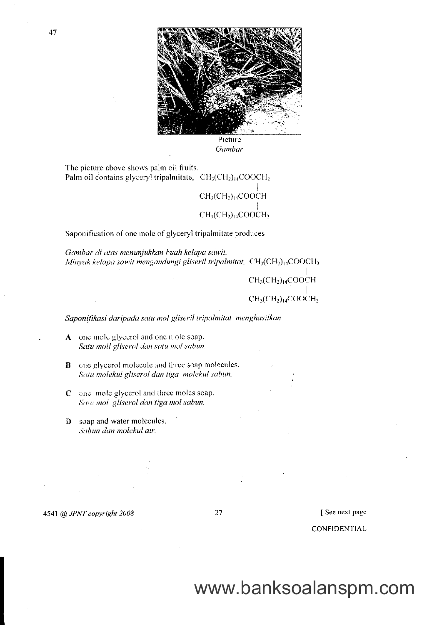

Picture Gambar

The picture above shows palm oil fruits. Palm oil contains glyceryl tripalmitate,  $CH<sub>3</sub>(CH<sub>2</sub>)<sub>14</sub>COOCH<sub>2</sub>$ 

 $CH<sub>3</sub>(CH<sub>2</sub>)<sub>14</sub>COOCH$ 

### $CH<sub>3</sub>(CH<sub>2</sub>)<sub>14</sub>COOCH<sub>2</sub>$

Saponification of one mole of glyceryl tripalmitate produces

Gambar di atas menunjukkan buah kelapa sawit. Minyak kelapa sawit mengandungi gliseril tripalmitat,  $CH_3(CH_2)_{14}COOCH_2$ 

> $CH<sub>3</sub>(CH<sub>2</sub>)<sub>14</sub>COOCH$  $CH<sub>3</sub>(CH<sub>2</sub>)<sub>14</sub>COOCH<sub>2</sub>$

Saponifikasi daripada satu mol gliseril tripalmitat menghasilkan

- A one mole glycerol and one mole soap. Satu moll gliserol dan satu mol sabun.
- **B** one glycerol molecule and three soap molecules. Satu molekul gliserol dan tiga molekul sabun.
- $C$  and mole glycerol and three moles soap. Satu mol gliserol dan tiga mol sabun.
- D soap and water molecules. Sabun dan molekul air.

4541 @ JPNT copyright 2008

27

See next page

**CONFIDENTIAL**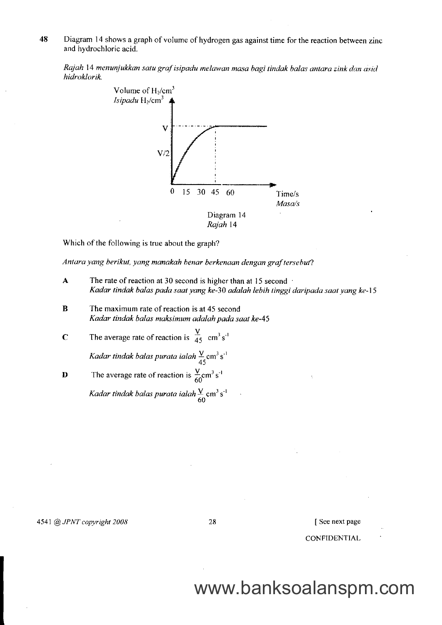48 Diagram 14 shows a graph of volume of hydrogen gas against time for the reaction between zinc and hydrochloric acid.

Rajah 14 menunjukkan satu graf isipadu melawan masa bagi tindak balas antara zink dan asid hidroklorik.



Which of the following is true about the graph?

Antara yang berikut, yang manakah benar berkenaan dengan graf tersebut?

- $\mathbf{A}$  The rate of reaction at 30 second is higher than at 15 second  $\cdot$ Kadar tindak balas poda saat yang ke-30 adalah lebih tinggi daripada saat yang ke-15
- B The maximum rate of reaction is at 45 second Kadar tindak balas maksimum adalah pada saat ke-45
- **C** The average rate of reaction is  $\frac{V}{45}$  cm<sup>3</sup> s<sup>-1</sup>

Kadar tindak balas purata ialah  $\frac{\text{V}}{45}$ cm<sup>3</sup> s<sup>-1</sup>

**D** The average rate of reaction is  $\frac{V}{60}$ cm<sup>3</sup> s<sup>-1</sup> Kadar tindak balas purata ialah $\frac{\chi}{60}$  cm<sup>3</sup> s<sup>-1</sup>

4541 @ JPNT copyright 2008 28

I See next page

CONFIDENTIAL